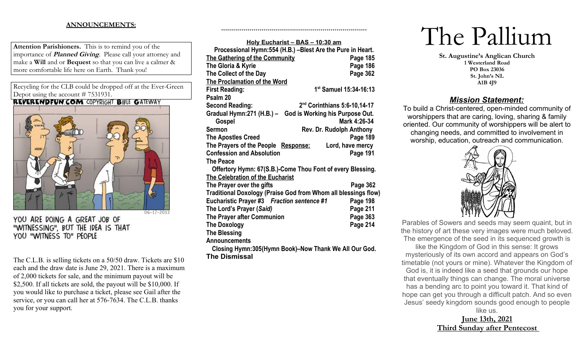# **ANNOUNCEMENTS:**

**Attention Parishioners.** This is to remind you of the importance of **Planned Giving**. Please call your attorney and make a **Will** and or **Bequest** so that you can live a calmer & more comfortable life here on Earth. Thank you!

Recycling for the CLB could be dropped off at the Ever-Green Depot using the account # 7531931.<br>**REVERENDFUN.COM** COPYRIGHT BIBLE GATEWAY



YOU ARE DOING A GREAT JOB OF "WITNESSING", BUT THE IDEA IS THAT YOU "WITNESS TO" PEOPLE

The C.L.B. is selling tickets on a 50/50 draw. Tickets are \$10 each and the draw date is June 29, 2021. There is a maximum of 2,000 tickets for sale, and the minimum payout will be \$2,500. If all tickets are sold, the payout will be \$10,000. If you would like to purchase a ticket, please see Gail after the service, or you can call her at 576-7634. The C.L.B. thanks you for your support.

| Holy Eucharist - BAS - 10:30 am                                |                                    |
|----------------------------------------------------------------|------------------------------------|
| Processional Hymn:554 (H.B.) -Blest Are the Pure in Heart.     |                                    |
| The Gathering of the Community                                 | Page 185                           |
| The Gloria & Kyrie                                             | Page 186                           |
| The Collect of the Day                                         | Page 362                           |
| <b>The Proclamation of the Word</b>                            |                                    |
| <b>First Reading:</b>                                          | 1 <sup>st</sup> Samuel 15:34-16:13 |
| Psalm 20                                                       |                                    |
| <b>Second Reading:</b>                                         | $2nd$ Corinthians 5:6-10,14-17     |
| Gradual Hymn:271 (H.B.) - God is Working his Purpose Out.      |                                    |
| Gospel                                                         | Mark 4:26-34                       |
| <b>Sermon</b>                                                  | <b>Rev. Dr. Rudolph Anthony</b>    |
| <b>The Apostles Creed</b>                                      | Page 189                           |
| The Prayers of the People Response:                            | Lord, have mercy                   |
| <b>Confession and Absolution</b>                               | Page 191                           |
| <b>The Peace</b>                                               |                                    |
| Offertory Hymn: 67(S.B.)-Come Thou Font of every Blessing.     |                                    |
| The Celebration of the Eucharist                               |                                    |
| The Prayer over the gifts                                      | Page 362                           |
| Traditional Doxology (Praise God from Whom all blessings flow) |                                    |
| Eucharistic Prayer #3 Fraction sentence #1                     | Page 198                           |
| The Lord's Prayer (Said)                                       | Page 211                           |
| The Prayer after Communion                                     | Page 363                           |
| <b>The Doxology</b>                                            | Page 214                           |
| <b>The Blessing</b>                                            |                                    |
| <b>Announcements</b>                                           |                                    |
|                                                                | $\blacksquare$                     |

++++++++++++++++++++++++++++++++++++++++++++++++++++++++++++++++++++++++

**Closing Hymn:305(Hymn Book)–Now Thank We All Our God. The Dismissal**

# The Pallium

**St. Augustine's Anglican Church 1 Westerland Road PO Box 23036 St. John's NL A1B 4J9**

# *Mission Statement:*

To build a Christ-centered, open-minded community of worshippers that are caring, loving, sharing & family oriented. Our community of worshippers will be alert to changing needs, and committed to involvement in worship, education, outreach and communication.



Parables of Sowers and seeds may seem quaint, but in the history of art these very images were much beloved. The emergence of the seed in its sequenced growth is

like the Kingdom of God in this sense: It grows mysteriously of its own accord and appears on God's timetable (not yours or mine). Whatever the Kingdom of God is, it is indeed like a seed that grounds our hope that eventually things can change. The moral universe has a bending arc to point you toward it. That kind of hope can get you through a difficult patch. And so even Jesus' seedy kingdom sounds good enough to people

like us. **June 13th, 2021 Third Sunday after Pentecost**